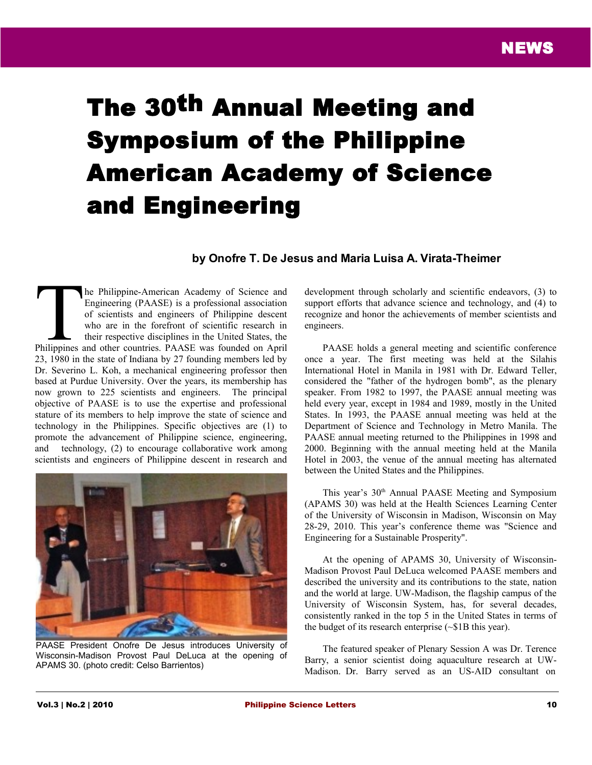## The 30th Annual Meeting and Symposium of the Philippine American Academy of Science and Engineering

## **by Onofre T. De Jesus and Maria Luisa A. Virata-Theimer**

he Philippine-American Academy of Science and Engineering (PAASE) is a professional association of scientists and engineers of Philippine descent who are in the forefront of scientific research in their respective disciplines in the United States, the The Philippine-American Academy of Science and Engineering (PAASE) is a professional association of scientists and engineers of Philippine descent who are in the forefront of scientific research in their respective discipl 23, 1980 in the state of Indiana by 27 founding members led by Dr. Severino L. Koh, a mechanical engineering professor then based at Purdue University. Over the years, its membership has now grown to 225 scientists and engineers. The principal objective of PAASE is to use the expertise and professional stature of its members to help improve the state of science and technology in the Philippines. Specific objectives are (1) to promote the advancement of Philippine science, engineering, and technology, (2) to encourage collaborative work among scientists and engineers of Philippine descent in research and



PAASE President Onofre De Jesus introduces University of Wisconsin-Madison Provost Paul DeLuca at the opening of APAMS 30. (photo credit: Celso Barrientos)

development through scholarly and scientific endeavors, (3) to support efforts that advance science and technology, and  $(4)$  to recognize and honor the achievements of member scientists and engineers.

PAASE holds a general meeting and scientific conference once a year. The first meeting was held at the Silahis International Hotel in Manila in 1981 with Dr. Edward Teller, considered the "father of the hydrogen bomb", as the plenary speaker. From 1982 to 1997, the PAASE annual meeting was held every year, except in 1984 and 1989, mostly in the United States. In 1993, the PAASE annual meeting was held at the Department of Science and Technology in Metro Manila. The PAASE annual meeting returned to the Philippines in 1998 and 2000. Beginning with the annual meeting held at the Manila Hotel in 2003, the venue of the annual meeting has alternated between the United States and the Philippines.

This year's 30<sup>th</sup> Annual PAASE Meeting and Symposium (APAMS 30) was held at the Health Sciences Learning Center of the University of Wisconsin in Madison, Wisconsin on May 28-29, 2010. This year's conference theme was "Science and Engineering for a Sustainable Prosperity".

At the opening of APAMS 30, University of Wisconsin-Madison Provost Paul DeLuca welcomed PAASE members and described the university and its contributions to the state, nation and the world at large. UW-Madison, the flagship campus of the University of Wisconsin System, has, for several decades, consistently ranked in the top 5 in the United States in terms of the budget of its research enterprise (~\$1B this year).

The featured speaker of Plenary Session A was Dr. Terence Barry, a senior scientist doing aquaculture research at UW-Madison. Dr. Barry served as an US-AID consultant on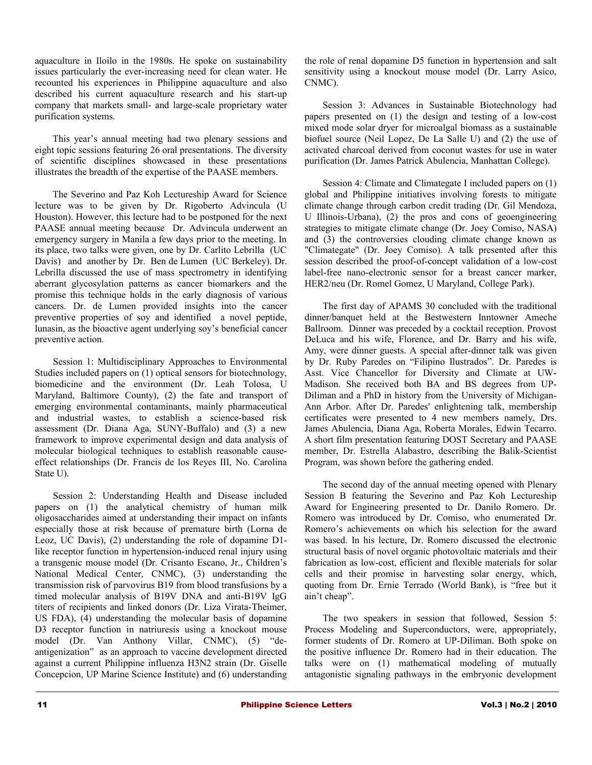aquaculture in Iloilo in the 1980s. He spoke on sustainability issues particularly the ever-increasing need for clean water. He recounted his experiences in Philippine aquaculture and also described his current aquaculture research and his start-up company that markets small- and large-scale proprietary water purification systems.

This year's annual meeting had two plenary sessions and eight topic sessions featuring 26 oral presentations. The diversity of scientific disciplines showcased in these presentations illustrates the breadth of the expertise of the PAASE members.

The Severino and Paz Koh Lectureship Award for Science lecture was to be given by Dr. Rigoberto Advincula (U Houston). However, this lecture had to be postponed for the next PAASE annual meeting because Dr. Advincula underwent an emergency surgery in Manila a few days prior to the meeting. In its place, two talks were given, one by Dr. Carlito Lebrilla (UC Davis) and another by Dr. Ben de Lumen (UC Berkeley). Dr. Lebrilla discussed the use of mass spectrometry in identifying aberrant glycosylation patterns as cancer biomarkers and the promise this technique holds in the early diagnosis of various cancers. Dr. de Lumen provided insights into the cancer preventive properties of soy and identified a novel peptide, lunasin, as the bioactive agent underlying soy's beneficial cancer preventive action.

Session 1: Multidisciplinary Approaches to Environmental Studies included papers on (1) optical sensors for biotechnology, biomedicine and the environment (Dr. Leah Tolosa, U Maryland, Baltimore County), (2) the fate and transport of emerging environmental contaminants, mainly pharmaceutical and industrial wastes, to establish a science-based risk assessment (Dr. Diana Aga, SUNY-Buffalo) and (3) a new framework to improve experimental design and data analysis of molecular biological techniques to establish reasonable causeeffect relationships (Dr. Francis de los Reyes III, No. Carolina State U).

Session 2: Understanding Health and Disease included papers on (1) the analytical chemistry of human milk oligosaccharides aimed at understanding their impact on infants especially those at risk because of premature birth (Lorna de Leoz, UC Davis), (2) understanding the role of dopamine D1 like receptor function in hypertension-induced renal injury using a transgenic mouse model (Dr. Crisanto Escano, Jr., Children's National Medical Center, CNMC), (3) understanding the transmission risk of parvovirus B19 from blood transfusions by a timed molecular analysis of B19V DNA and anti-B19V IgG titers of recipients and linked donors (Dr. Liza Virata-Theimer, US FDA), (4) understanding the molecular basis of dopamine D3 receptor function in natriuresis using a knockout mouse model (Dr. Van Anthony Villar, CNMC), (5) "deantigenization" as an approach to vaccine development directed against a current Philippine influenza H3N2 strain (Dr. Giselle Concepcion, UP Marine Science Institute) and (6) understanding

the role of renal dopamine D5 function in hypertension and salt sensitivity using a knockout mouse model (Dr. Larry Asico, CNMC).

Session 3: Advances in Sustainable Biotechnology had papers presented on (1) the design and testing of a low-cost mixed mode solar dryer for microalgal biomass as a sustainable biofuel source (Neil Lopez, De La Salle U) and (2) the use of activated charcoal derived from coconut wastes for use in water purification (Dr. James Patrick Abulencia, Manhattan College).

Session 4: Climate and Climategate I included papers on (1) global and Philippine initiatives involving forests to mitigate climate change through carbon credit trading (Dr. Gil Mendoza, U Illinois-Urbana), (2) the pros and cons of geoengineering strategies to mitigate climate change (Dr. Joey Comiso, NASA) and (3) the controversies clouding climate change known as "Climategate" (Dr. Joey Comiso). A talk presented after this session described the proof-of-concept validation of a low-cost label-free nano-electronic sensor for a breast cancer marker, HER2/neu (Dr. Romel Gomez, U Maryland, College Park).

The first day of APAMS 30 concluded with the traditional dinner/banquet held at the Bestwestern Inntowner Ameche Ballroom. Dinner was preceded by a cocktail reception. Provost DeLuca and his wife, Florence, and Dr. Barry and his wife, Amy, were dinner guests. A special after-dinner talk was given by Dr. Ruby Paredes on "Filipino Ilustrados". Dr. Paredes is Asst. Vice Chancellor for Diversity and Climate at UW-Madison. She received both BA and BS degrees from UP-Diliman and a PhD in history from the University of Michigan-Ann Arbor. After Dr. Paredes' enlightening talk, membership certificates were presented to 4 new members namely, Drs. James Abulencia, Diana Aga, Roberta Morales, Edwin Tecarro. A short film presentation featuring DOST Secretary and PAASE member, Dr. Estrella Alabastro, describing the Balik-Scientist Program, was shown before the gathering ended.

The second day of the annual meeting opened with Plenary Session B featuring the Severino and Paz Koh Lectureship Award for Engineering presented to Dr. Danilo Romero. Dr. Romero was introduced by Dr. Comiso, who enumerated Dr. Romero's achievements on which his selection for the award was based. In his lecture, Dr. Romero discussed the electronic structural basis of novel organic photovoltaic materials and their fabrication as low-cost, efficient and flexible materials for solar cells and their promise in harvesting solar energy, which, quoting from Dr. Ernie Terrado (World Bank), is "free but it ain't cheap".

The two speakers in session that followed, Session 5: Process Modeling and Superconductors, were, appropriately, former students of Dr. Romero at UP-Diliman. Both spoke on the positive influence Dr. Romero had in their education. The talks were on (1) mathematical modeling of mutually antagonistic signaling pathways in the embryonic development